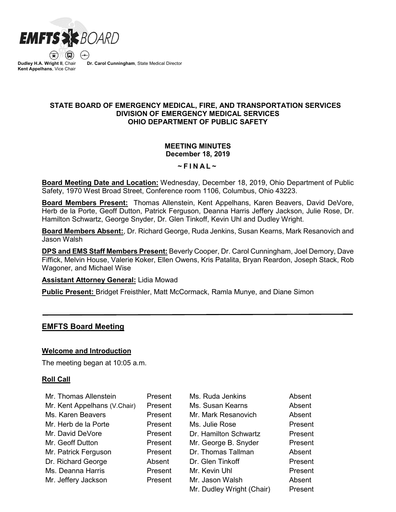

 $\left( \begin{matrix} \blacksquare \end{matrix} \right)$ **Dudley H.A. Wright II**, Chair **Kent Appelhans**, Vice Chair

**Dr. Carol Cunningham**, State Medical Director

## **STATE BOARD OF EMERGENCY MEDICAL, FIRE, AND TRANSPORTATION SERVICES DIVISION OF EMERGENCY MEDICAL SERVICES OHIO DEPARTMENT OF PUBLIC SAFETY**

### **MEETING MINUTES December 18, 2019**

#### **~ F INAL ~**

**Board Meeting Date and Location:** Wednesday, December 18, 2019, Ohio Department of Public Safety, 1970 West Broad Street, Conference room 1106, Columbus, Ohio 43223.

**Board Members Present:** Thomas Allenstein, Kent Appelhans, Karen Beavers, David DeVore, Herb de la Porte, Geoff Dutton, Patrick Ferguson, Deanna Harris Jeffery Jackson, Julie Rose, Dr. Hamilton Schwartz, George Snyder, Dr. Glen Tinkoff, Kevin Uhl and Dudley Wright.

**Board Members Absent:**, Dr. Richard George, Ruda Jenkins, Susan Kearns, Mark Resanovich and Jason Walsh

**DPS and EMS Staff Members Present:** Beverly Cooper, Dr. Carol Cunningham, Joel Demory, Dave Fiffick, Melvin House, Valerie Koker, Ellen Owens, Kris Patalita, Bryan Reardon, Joseph Stack, Rob Wagoner, and Michael Wise

#### **Assistant Attorney General:** Lidia Mowad

**Public Present:** Bridget Freisthler, Matt McCormack, Ramla Munye, and Diane Simon

# **EMFTS Board Meeting**

#### **Welcome and Introduction**

The meeting began at 10:05 a.m.

#### **Roll Call**

| Mr. Thomas Allenstein        | Present | Ms. Ruda Jenkins          | Absent  |
|------------------------------|---------|---------------------------|---------|
| Mr. Kent Appelhans (V.Chair) | Present | Ms. Susan Kearns          | Absent  |
| Ms. Karen Beavers            | Present | Mr. Mark Resanovich       | Absent  |
| Mr. Herb de la Porte         | Present | Ms. Julie Rose            | Present |
| Mr. David DeVore             | Present | Dr. Hamilton Schwartz     | Present |
| Mr. Geoff Dutton             | Present | Mr. George B. Snyder      | Present |
| Mr. Patrick Ferguson         | Present | Dr. Thomas Tallman        | Absent  |
| Dr. Richard George           | Absent  | Dr. Glen Tinkoff          | Present |
| Ms. Deanna Harris            | Present | Mr. Kevin Uhl             | Present |
| Mr. Jeffery Jackson          | Present | Mr. Jason Walsh           | Absent  |
|                              |         | Mr. Dudley Wright (Chair) | Present |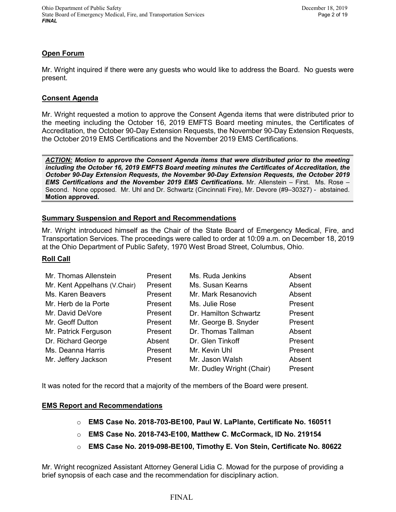# **Open Forum**

Mr. Wright inquired if there were any guests who would like to address the Board. No guests were present.

## **Consent Agenda**

Mr. Wright requested a motion to approve the Consent Agenda items that were distributed prior to the meeting including the October 16, 2019 EMFTS Board meeting minutes, the Certificates of Accreditation, the October 90-Day Extension Requests, the November 90-Day Extension Requests, the October 2019 EMS Certifications and the November 2019 EMS Certifications.

*ACTION: Motion to approve the Consent Agenda items that were distributed prior to the meeting including the October 16, 2019 EMFTS Board meeting minutes the Certificates of Accreditation, the October 90-Day Extension Requests, the November 90-Day Extension Requests, the October 2019 EMS Certifications and the November 2019 EMS Certifications.* Mr. Allenstein – First. Ms. Rose – Second. None opposed. Mr. Uhl and Dr. Schwartz (Cincinnati Fire), Mr. Devore (#9–30327) - abstained. **Motion approved.**

## **Summary Suspension and Report and Recommendations**

Mr. Wright introduced himself as the Chair of the State Board of Emergency Medical, Fire, and Transportation Services. The proceedings were called to order at 10:09 a.m. on December 18, 2019 at the Ohio Department of Public Safety, 1970 West Broad Street, Columbus, Ohio.

#### **Roll Call**

| Mr. Thomas Allenstein        | Present | Ms. Ruda Jenkins          | Absent  |
|------------------------------|---------|---------------------------|---------|
| Mr. Kent Appelhans (V.Chair) | Present | Ms. Susan Kearns          | Absent  |
| Ms. Karen Beavers            | Present | Mr. Mark Resanovich       | Absent  |
| Mr. Herb de la Porte         | Present | Ms. Julie Rose            | Present |
| Mr. David DeVore             | Present | Dr. Hamilton Schwartz     | Present |
| Mr. Geoff Dutton             | Present | Mr. George B. Snyder      | Present |
| Mr. Patrick Ferguson         | Present | Dr. Thomas Tallman        | Absent  |
| Dr. Richard George           | Absent  | Dr. Glen Tinkoff          | Present |
| Ms. Deanna Harris            | Present | Mr. Kevin Uhl             | Present |
| Mr. Jeffery Jackson          | Present | Mr. Jason Walsh           | Absent  |
|                              |         | Mr. Dudley Wright (Chair) | Present |

It was noted for the record that a majority of the members of the Board were present.

#### **EMS Report and Recommendations**

- o **EMS Case No. 2018-703-BE100, Paul W. LaPlante, Certificate No. 160511**
- o **EMS Case No. 2018-743-E100, Matthew C. McCormack, ID No. 219154**
- o **EMS Case No. 2019-098-BE100, Timothy E. Von Stein, Certificate No. 80622**

Mr. Wright recognized Assistant Attorney General Lidia C. Mowad for the purpose of providing a brief synopsis of each case and the recommendation for disciplinary action.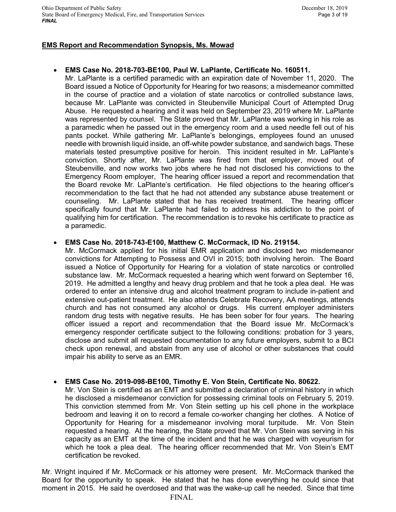# **EMS Report and Recommendation Synopsis, Ms. Mowad**

# • **EMS Case No. 2018-703-BE100, Paul W. LaPlante, Certificate No. 160511.**

Mr. LaPlante is a certified paramedic with an expiration date of November 11, 2020. The Board issued a Notice of Opportunity for Hearing for two reasons; a misdemeanor committed in the course of practice and a violation of state narcotics or controlled substance laws, because Mr. LaPlante was convicted in Steubenville Municipal Court of Attempted Drug Abuse. He requested a hearing and it was held on September 23, 2019 where Mr. LaPlante was represented by counsel. The State proved that Mr. LaPlante was working in his role as a paramedic when he passed out in the emergency room and a used needle fell out of his pants pocket. While gathering Mr. LaPlante's belongings, employees found an unused needle with brownish liquid inside, an off-white powder substance, and sandwich bags. These materials tested presumptive positive for heroin. This incident resulted in Mr. LaPlante's conviction. Shortly after, Mr. LaPlante was fired from that employer, moved out of Steubenville, and now works two jobs where he had not disclosed his convictions to the Emergency Room employer, The hearing officer issued a report and recommendation that the Board revoke Mr. LaPlante's certification. He filed objections to the hearing officer's recommendation to the fact that he had not attended any substance abuse treatement or counseling. Mr. LaPlante stated that he has received treatment. The hearing officer specifically found that Mr. LaPlante had failed to address his addiction to the point of qualifying him for certification. The recommendation is to revoke his certificate to practice as a paramedic.

# • **EMS Case No. 2018-743-E100, Matthew C. McCormack, ID No. 219154.**

Mr. McCormack applied for his initial EMR application and disclosed two misdemeanor convictions for Attempting to Possess and OVI in 2015; both involving heroin. The Board issued a Notice of Opportunity for Hearing for a violation of state narcotics or controlled substance law. Mr. McCormack requested a hearing which went forward on September 16, 2019. He admitted a lengthy and heavy drug problem and that he took a plea deal. He was ordered to enter an intensive drug and alcohol treatment program to include in-patient and extensive out-patient treatment. He also attends Celebrate Recovery, AA meetings, attends church and has not consumed any alcohol or drugs. His current employer administers random drug tests with negative results. He has been sober for four years. The hearing officer issued a report and recommendation that the Board issue Mr. McCormack's emergency responder certificate subject to the following conditions: probation for 3 years, disclose and submit all requested documentation to any future employers, submit to a BCI check upon renewal, and abstain from any use of alcohol or other substances that could impair his ability to serve as an EMR.

# • **EMS Case No. 2019-098-BE100, Timothy E. Von Stein, Certificate No. 80622.**

Mr. Von Stein is certified as an EMT and submitted a declaration of criminal history in which he disclosed a misdemeanor conviction for possessing criminal tools on February 5, 2019. This conviction stemmed from Mr. Von Stein setting up his cell phone in the workplace bedroom and leaving it on to record a female co-worker changing her clothes. A Notice of Opportunity for Hearing for a misdemeanor involving moral turpitude. Mr. Von Stein requested a hearing. At the hearing, the State proved that Mr. Von Stein was serving in his capacity as an EMT at the time of the incident and that he was charged with voyeurism for which he took a plea deal. The hearing officer recommended that Mr. Von Stein's EMT certification be revoked.

Mr. Wright inquired if Mr. McCormack or his attorney were present. Mr. McCormack thanked the Board for the opportunity to speak. He stated that he has done everything he could since that moment in 2015. He said he overdosed and that was the wake-up call he needed. Since that time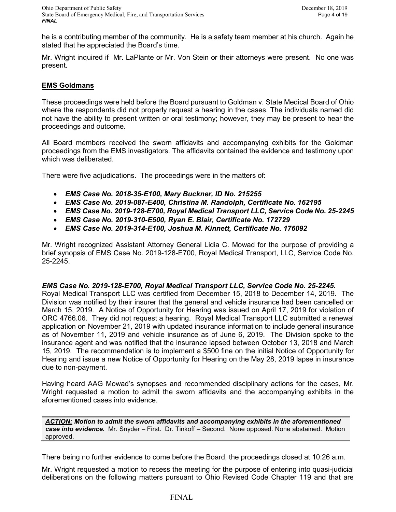he is a contributing member of the community. He is a safety team member at his church. Again he stated that he appreciated the Board's time.

Mr. Wright inquired if Mr. LaPlante or Mr. Von Stein or their attorneys were present. No one was present.

## **EMS Goldmans**

These proceedings were held before the Board pursuant to Goldman v. State Medical Board of Ohio where the respondents did not properly request a hearing in the cases. The individuals named did not have the ability to present written or oral testimony; however, they may be present to hear the proceedings and outcome.

All Board members received the sworn affidavits and accompanying exhibits for the Goldman proceedings from the EMS investigators. The affidavits contained the evidence and testimony upon which was deliberated.

There were five adjudications. The proceedings were in the matters of:

- *EMS Case No. 2018-35-E100, Mary Buckner, ID No. 215255*
- *EMS Case No. 2019-087-E400, Christina M. Randolph, Certificate No. 162195*
- *EMS Case No. 2019-128-E700, Royal Medical Transport LLC, Service Code No. 25-2245*
- *EMS Case No. 2019-310-E500, Ryan E. Blair, Certificate No. 172729*
- *EMS Case No. 2019-314-E100, Joshua M. Kinnett, Certificate No. 176092*

Mr. Wright recognized Assistant Attorney General Lidia C. Mowad for the purpose of providing a brief synopsis of EMS Case No. 2019-128-E700, Royal Medical Transport, LLC, Service Code No. 25-2245.

# *EMS Case No. 2019-128-E700, Royal Medical Transport LLC, Service Code No. 25-2245.*

Royal Medical Transport LLC was certified from December 15, 2018 to December 14, 2019. The Division was notified by their insurer that the general and vehicle insurance had been cancelled on March 15, 2019. A Notice of Opportunity for Hearing was issued on April 17, 2019 for violation of ORC 4766.06. They did not request a hearing. Royal Medical Transport LLC submitted a renewal application on November 21, 2019 with updated insurance information to include general insurance as of November 11, 2019 and vehicle insurance as of June 6, 2019. The Division spoke to the insurance agent and was notified that the insurance lapsed between October 13, 2018 and March 15, 2019. The recommendation is to implement a \$500 fine on the initial Notice of Opportunity for Hearing and issue a new Notice of Opportunity for Hearing on the May 28, 2019 lapse in insurance due to non-payment.

Having heard AAG Mowad's synopses and recommended disciplinary actions for the cases, Mr. Wright requested a motion to admit the sworn affidavits and the accompanying exhibits in the aforementioned cases into evidence.

*ACTION: Motion to admit the sworn affidavits and accompanying exhibits in the aforementioned case into evidence.* Mr. Snyder – First. Dr. Tinkoff – Second. None opposed. None abstained. Motion approved.

There being no further evidence to come before the Board, the proceedings closed at 10:26 a.m.

Mr. Wright requested a motion to recess the meeting for the purpose of entering into quasi-judicial deliberations on the following matters pursuant to Ohio Revised Code Chapter 119 and that are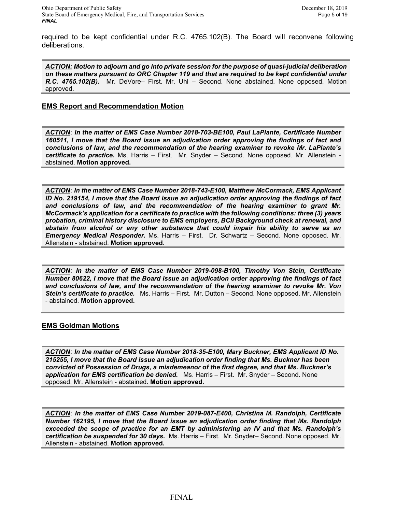required to be kept confidential under R.C. 4765.102(B). The Board will reconvene following deliberations.

*ACTION: Motion to adjourn and go into private session for the purpose of quasi-judicial deliberation on these matters pursuant to ORC Chapter 119 and that are required to be kept confidential under R.C. 4765.102(B).* Mr. DeVore– First. Mr. Uhl – Second. None abstained. None opposed. Motion approved.

## **EMS Report and Recommendation Motion**

*ACTION*: *In the matter of EMS Case Number 2018-703-BE100, Paul LaPlante, Certificate Number 160511, I move that the Board issue an adjudication order approving the findings of fact and conclusions of law, and the recommendation of the hearing examiner to revoke Mr. LaPlante's certificate to practice.* Ms. Harris – First. Mr. Snyder – Second. None opposed. Mr. Allenstein abstained. **Motion approved.**

*ACTION*: *In the matter of EMS Case Number 2018-743-E100, Matthew McCormack, EMS Applicant ID No. 219154, I move that the Board issue an adjudication order approving the findings of fact and conclusions of law, and the recommendation of the hearing examiner to grant Mr. McCormack's application for a certificate to practice with the following conditions: three (3) years probation, criminal history disclosure to EMS employers, BCII Background check at renewal, and abstain from alcohol or any other substance that could impair his ability to serve as an Emergency Medical Responder.* Ms. Harris – First. Dr. Schwartz – Second. None opposed. Mr. Allenstein - abstained. **Motion approved.**

*ACTION*: *In the matter of EMS Case Number 2019-098-B100, Timothy Von Stein, Certificate Number 80622, I move that the Board issue an adjudication order approving the findings of fact and conclusions of law, and the recommendation of the hearing examiner to revoke Mr. Von Stein's certificate to practice.* Ms. Harris – First. Mr. Dutton – Second. None opposed. Mr. Allenstein - abstained. **Motion approved.**

#### **EMS Goldman Motions**

*ACTION*: *In the matter of EMS Case Number 2018-35-E100, Mary Buckner, EMS Applicant ID No. 215255, I move that the Board issue an adjudication order finding that Ms. Buckner has been convicted of Possession of Drugs, a misdemeanor of the first degree, and that Ms. Buckner's application for EMS certification be denied.* Ms. Harris – First. Mr. Snyder – Second. None opposed. Mr. Allenstein - abstained. **Motion approved.**

*ACTION*: *In the matter of EMS Case Number 2019-087-E400, Christina M. Randolph, Certificate Number 162195, I move that the Board issue an adjudication order finding that Ms. Randolph exceeded the scope of practice for an EMT by administering an IV and that Ms. Randolph's certification be suspended for 30 days.* Ms. Harris – First. Mr. Snyder– Second. None opposed. Mr. Allenstein - abstained. **Motion approved.**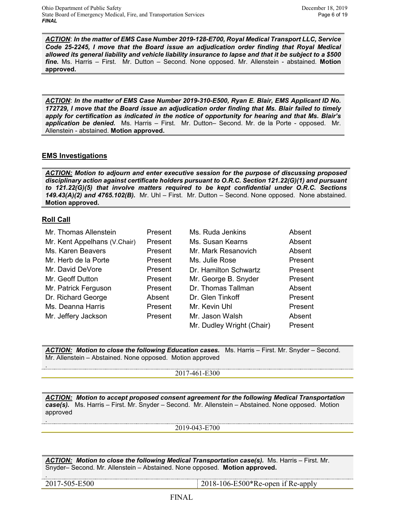*ACTION*: *In the matter of EMS Case Number 2019-128-E700, Royal Medical Transport LLC, Service Code 25-2245, I move that the Board issue an adjudication order finding that Royal Medical allowed its general liability and vehicle liability insurance to lapse and that it be subject to a \$500 fine.* Ms. Harris – First. Mr. Dutton – Second. None opposed. Mr. Allenstein - abstained. **Motion approved.**

*ACTION*: *In the matter of EMS Case Number 2019-310-E500, Ryan E. Blair, EMS Applicant ID No. 172729, I move that the Board issue an adjudication order finding that Ms. Blair failed to timely apply for certification as indicated in the notice of opportunity for hearing and that Ms. Blair's application be denied.* Ms. Harris – First. Mr. Dutton– Second. Mr. de la Porte - opposed. Mr. Allenstein - abstained. **Motion approved.**

# **EMS Investigations**

*ACTION: Motion to adjourn and enter executive session for the purpose of discussing proposed disciplinary action against certificate holders pursuant to O.R.C. Section 121.22(G)(1) and pursuant to 121.22(G)(5) that involve matters required to be kept confidential under O.R.C. Sections 149.43(A)(2) and 4765.102(B).* Mr. Uhl – First. Mr. Dutton – Second. None opposed. None abstained. **Motion approved.**

## **Roll Call**

.

.

.

| Mr. Thomas Allenstein        | Present | Ms. Ruda Jenkins          | Absent  |
|------------------------------|---------|---------------------------|---------|
| Mr. Kent Appelhans (V.Chair) | Present | Ms. Susan Kearns          | Absent  |
| Ms. Karen Beavers            | Present | Mr. Mark Resanovich       | Absent  |
| Mr. Herb de la Porte         | Present | Ms. Julie Rose            | Present |
| Mr. David DeVore             | Present | Dr. Hamilton Schwartz     | Present |
| Mr. Geoff Dutton             | Present | Mr. George B. Snyder      | Present |
| Mr. Patrick Ferguson         | Present | Dr. Thomas Tallman        | Absent  |
| Dr. Richard George           | Absent  | Dr. Glen Tinkoff          | Present |
| Ms. Deanna Harris            | Present | Mr. Kevin Uhl             | Present |
| Mr. Jeffery Jackson          | Present | Mr. Jason Walsh           | Absent  |
|                              |         | Mr. Dudley Wright (Chair) | Present |

*ACTION: Motion to close the following Education cases.* Ms. Harris – First. Mr. Snyder – Second. Mr. Allenstein – Abstained. None opposed. Motion approved

2017-461-E300

*ACTION: Motion to accept proposed consent agreement for the following Medical Transportation case(s).* Ms. Harris – First. Mr. Snyder – Second. Mr. Allenstein – Abstained. None opposed. Motion approved

2019-043-E700

*ACTION: Motion to close the following Medical Transportation case(s).* Ms. Harris – First. Mr. Snyder– Second. Mr. Allenstein – Abstained. None opposed. **Motion approved.**

2017-505-E500 2018-106-E500\*Re-open if Re-apply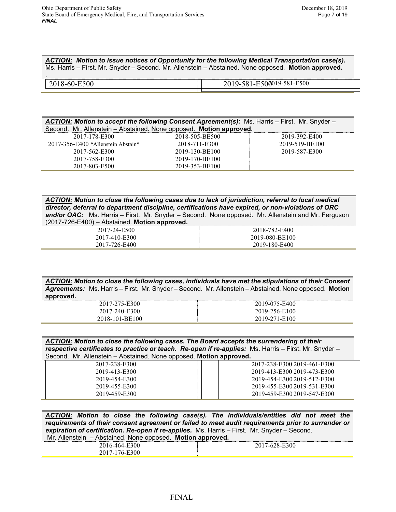*ACTION: Motion to issue notices of Opportunity for the following Medical Transportation case(s).*  Ms. Harris – First. Mr. Snyder – Second. Mr. Allenstein – Abstained. None opposed. **Motion approved.**

| ACTION: Motion to accept the following Consent Agreement(s): Ms. Harris - First. Mr. Snyder - |                |                |  |  |
|-----------------------------------------------------------------------------------------------|----------------|----------------|--|--|
| Second. Mr. Allenstein - Abstained. None opposed. Motion approved.                            |                |                |  |  |
| 2017-178-E300                                                                                 | 2018-505-BE500 | 2019-392-E400  |  |  |
| 2017-356-E400 *Allenstein Abstain*                                                            | 2018-711-E300  | 2019-519-BE100 |  |  |
| 2017-562-E300                                                                                 | 2019-130-BE100 | 2019-587-E300  |  |  |
| 2017-758-E300                                                                                 | 2019-170-BE100 |                |  |  |
| 2017-803-E500                                                                                 | 2019-353-BE100 |                |  |  |

*ACTION: Motion to close the following cases due to lack of jurisdiction, referral to local medical director, deferral to department discipline, certifications have expired, or non-violations of ORC and/or OAC:* Ms. Harris – First. Mr. Snyder – Second. None opposed. Mr. Allenstein and Mr. Ferguson (2017-726-E400) – Abstained. **Motion approved.**

| __<br>_ _ _<br>___       |                |
|--------------------------|----------------|
| 7-24-E500<br>201         | 2018-782-E400  |
| 7-410-E300<br>201′       | 2019-080-BE100 |
| 2017<br>26-E400<br>، - ا | 2019-180-E400  |

*ACTION: Motion to close the following cases, individuals have met the stipulations of their Consent Agreements:* Ms. Harris – First. Mr. Snyder – Second. Mr. Allenstein – Abstained. None opposed. **Motion approved.**

| 2017-275-E300  | <br>2019-075-E400  |
|----------------|--------------------|
| 2017-240-E300  | 2019-256-E100      |
| 2018-101-BE100 | 71-E100<br>2019-27 |

*ACTION: Motion to close the following cases. The Board accepts the surrendering of their respective certificates to practice or teach. Re-open if re-applies:* Ms. Harris – First. Mr. Snyder – Second. Mr. Allenstein – Abstained. None opposed. **Motion approved.**

| 2017-238-E300 | 2017-238-E300 2019-461-E300 |
|---------------|-----------------------------|
| 2019-413-E300 | 2019-413-E300 2019-473-E300 |
| 2019-454-E300 | 2019-454-E300 2019-512-E300 |
| 2019-455-E300 | 2019-455-E300 2019-531-E300 |
| 2019-459-E300 | 2019-459-E300 2019-547-E300 |

*ACTION: Motion to close the following case(s). The individuals/entities did not meet the requirements of their consent agreement or failed to meet audit requirements prior to surrender or expiration of certification. Re-open if re-applies.* Ms. Harris – First. Mr. Snyder – Second.

|  |  | Mr. Allenstein – Abstained. None opposed. Motion approved. |  |
|--|--|------------------------------------------------------------|--|
|  |  |                                                            |  |

| 300                | :300<br>.<br>. .<br>$\sim$<br>$\sim$ $\sim$ |
|--------------------|---------------------------------------------|
| 300<br>2017<br>. . |                                             |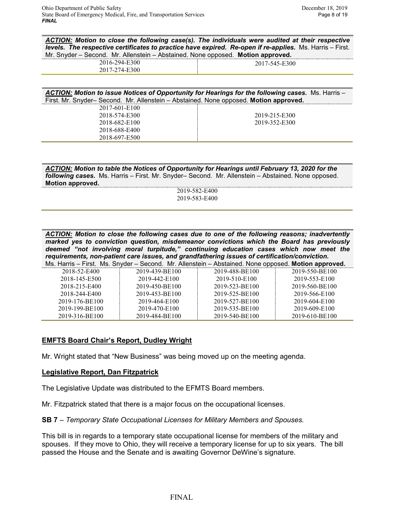*ACTION: Motion to close the following case(s). The individuals were audited at their respective levels. The respective certificates to practice have expired. Re-open if re-applies.* Ms. Harris – First. Mr. Snyder – Second. Mr. Allenstein – Abstained. None opposed. **Motion approved.**

| .   |                  |
|-----|------------------|
| ч4. | 5500<br>. .<br>⊷ |
| -   |                  |

| <b>ACTION: Motion to issue Notices of Opportunity for Hearings for the following cases.</b> Ms. Harris – |               |
|----------------------------------------------------------------------------------------------------------|---------------|
| First. Mr. Snyder-Second. Mr. Allenstein - Abstained. None opposed. Motion approved.                     |               |
| 2017-601-E100                                                                                            |               |
| 2018-574-E300                                                                                            | 2019-215-E300 |
| 2018-682-E100                                                                                            | 2019-352-E300 |
| 2018-688-E400                                                                                            |               |
| 2018-697-E500                                                                                            |               |

*ACTION: Motion to table the Notices of Opportunity for Hearings until February 13, 2020 for the following cases.* Ms. Harris – First. Mr. Snyder– Second. Mr. Allenstein – Abstained. None opposed. **Motion approved.**

2019-582-E400 2019-583-E400

*ACTION: Motion to close the following cases due to one of the following reasons; inadvertently marked yes to conviction question, misdemeanor convictions which the Board has previously deemed "not involving moral turpitude," continuing education cases which now meet the requirements, non-patient care issues, and grandfathering issues of certification/conviction.*

|  |  |  |  |  |  | Ms. Harris – First. Ms. Snyder – Second. Mr. Allenstein – Abstained. None opposed. Motion approved. |
|--|--|--|--|--|--|-----------------------------------------------------------------------------------------------------|
|--|--|--|--|--|--|-----------------------------------------------------------------------------------------------------|

| 2018-52-E400   | 2019-439-BE100 | 2019-488-BE100 | 2019-550-BE100 |
|----------------|----------------|----------------|----------------|
| 2018-145-E500  | 2019-442-E100  | 2019-510-E100  | 2019-553-E100  |
| 2018-215-E400  | 2019-450-BE100 | 2019-523-BE100 | 2019-560-BE100 |
| 2018-244-E400  | 2019-453-BE100 | 2019-525-BE100 | 2019-566-E100  |
| 2019-176-BE100 | 2019-464-E100  | 2019-527-BE100 | 2019-604-E100  |
| 2019-199-BE100 | 2019-470-E100  | 2019-535-BE100 | 2019-609-E100  |
| 2019-316-BE100 | 2019-484-BE100 | 2019-540-BE100 | 2019-610-BE100 |

# **EMFTS Board Chair's Report, Dudley Wright**

Mr. Wright stated that "New Business" was being moved up on the meeting agenda.

#### **Legislative Report, Dan Fitzpatrick**

The Legislative Update was distributed to the EFMTS Board members.

Mr. Fitzpatrick stated that there is a major focus on the occupational licenses.

**SB 7** – *Temporary State Occupational Licenses for Military Members and Spouses.* 

This bill is in regards to a temporary state occupational license for members of the military and spouses. If they move to Ohio, they will receive a temporary license for up to six years. The bill passed the House and the Senate and is awaiting Governor DeWine's signature.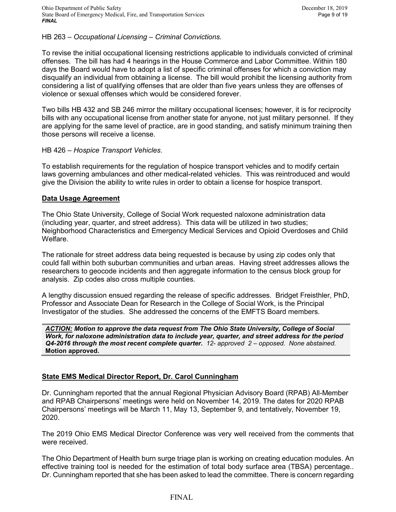HB 263 – *Occupational Licensing – Criminal Convictions.*

To revise the initial occupational licensing restrictions applicable to individuals convicted of criminal offenses. The bill has had 4 hearings in the House Commerce and Labor Committee. Within 180 days the Board would have to adopt a list of specific criminal offenses for which a conviction may disqualify an individual from obtaining a license. The bill would prohibit the licensing authority from considering a list of qualifying offenses that are older than five years unless they are offenses of violence or sexual offenses which would be considered forever.

Two bills HB 432 and SB 246 mirror the military occupational licenses; however, it is for reciprocity bills with any occupational license from another state for anyone, not just military personnel. If they are applying for the same level of practice, are in good standing, and satisfy minimum training then those persons will receive a license.

## HB 426 – *Hospice Transport Vehicles.*

To establish requirements for the regulation of hospice transport vehicles and to modify certain laws governing ambulances and other medical-related vehicles. This was reintroduced and would give the Division the ability to write rules in order to obtain a license for hospice transport.

#### **Data Usage Agreement**

The Ohio State University, College of Social Work requested naloxone administration data (including year, quarter, and street address). This data will be utilized in two studies; Neighborhood Characteristics and Emergency Medical Services and Opioid Overdoses and Child Welfare.

The rationale for street address data being requested is because by using zip codes only that could fall within both suburban communities and urban areas. Having street addresses allows the researchers to geocode incidents and then aggregate information to the census block group for analysis. Zip codes also cross multiple counties.

A lengthy discussion ensued regarding the release of specific addresses. Bridget Freisthler, PhD, Professor and Associate Dean for Research in the College of Social Work, is the Principal Investigator of the studies. She addressed the concerns of the EMFTS Board members.

*ACTION: Motion to approve the data request from The Ohio State University, College of Social Work, for naloxone administration data to include year, quarter, and street address for the period Q4-2016 through the most recent complete quarter. 12- approved 2 – opposed. None abstained.*  **Motion approved.** 

# **State EMS Medical Director Report, Dr. Carol Cunningham**

Dr. Cunningham reported that the annual Regional Physician Advisory Board (RPAB) All-Member and RPAB Chairpersons' meetings were held on November 14, 2019. The dates for 2020 RPAB Chairpersons' meetings will be March 11, May 13, September 9, and tentatively, November 19, 2020.

The 2019 Ohio EMS Medical Director Conference was very well received from the comments that were received.

The Ohio Department of Health burn surge triage plan is working on creating education modules. An effective training tool is needed for the estimation of total body surface area (TBSA) percentage.. Dr. Cunningham reported that she has been asked to lead the committee. There is concern regarding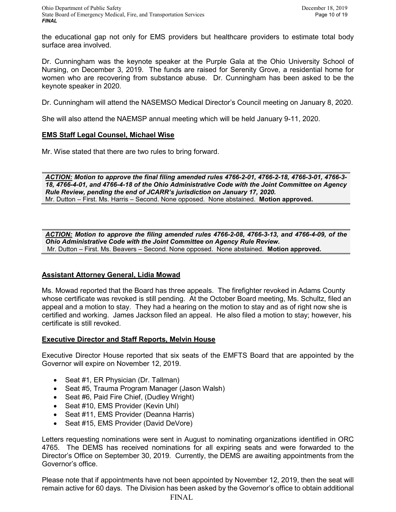the educational gap not only for EMS providers but healthcare providers to estimate total body surface area involved.

Dr. Cunningham was the keynote speaker at the Purple Gala at the Ohio University School of Nursing, on December 3, 2019. The funds are raised for Serenity Grove, a residential home for women who are recovering from substance abuse. Dr. Cunningham has been asked to be the keynote speaker in 2020.

Dr. Cunningham will attend the NASEMSO Medical Director's Council meeting on January 8, 2020.

She will also attend the NAEMSP annual meeting which will be held January 9-11, 2020.

# **EMS Staff Legal Counsel, Michael Wise**

Mr. Wise stated that there are two rules to bring forward.

*ACTION: Motion to approve the final filing amended rules 4766-2-01, 4766-2-18, 4766-3-01, 4766-3- 18, 4766-4-01, and 4766-4-18 of the Ohio Administrative Code with the Joint Committee on Agency Rule Review, pending the end of JCARR's jurisdiction on January 17, 2020.*  Mr. Dutton – First. Ms. Harris – Second. None opposed. None abstained. **Motion approved.**

*ACTION: Motion to approve the filing amended rules 4766-2-08, 4766-3-13, and 4766-4-09, of the Ohio Administrative Code with the Joint Committee on Agency Rule Review.*  Mr. Dutton – First. Ms. Beavers – Second. None opposed. None abstained. **Motion approved.**

# **Assistant Attorney General, Lidia Mowad**

Ms. Mowad reported that the Board has three appeals. The firefighter revoked in Adams County whose certificate was revoked is still pending. At the October Board meeting, Ms. Schultz, filed an appeal and a motion to stay. They had a hearing on the motion to stay and as of right now she is certified and working. James Jackson filed an appeal. He also filed a motion to stay; however, his certificate is still revoked.

# **Executive Director and Staff Reports, Melvin House**

Executive Director House reported that six seats of the EMFTS Board that are appointed by the Governor will expire on November 12, 2019.

- Seat #1, ER Physician (Dr. Tallman)
- Seat #5, Trauma Program Manager (Jason Walsh)
- Seat #6, Paid Fire Chief, (Dudley Wright)
- Seat #10, EMS Provider (Kevin Uhl)
- Seat #11, EMS Provider (Deanna Harris)
- Seat #15, EMS Provider (David DeVore)

Letters requesting nominations were sent in August to nominating organizations identified in ORC 4765. The DEMS has received nominations for all expiring seats and were forwarded to the Director's Office on September 30, 2019. Currently, the DEMS are awaiting appointments from the Governor's office.

Please note that if appointments have not been appointed by November 12, 2019, then the seat will remain active for 60 days. The Division has been asked by the Governor's office to obtain additional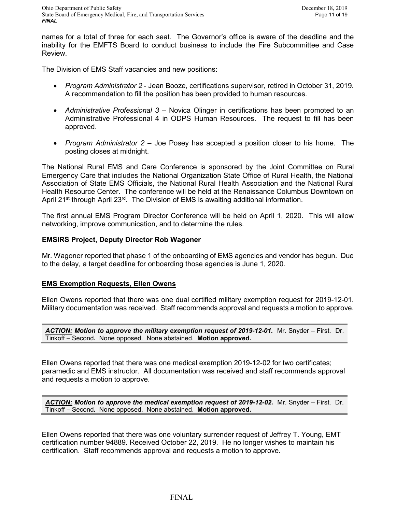names for a total of three for each seat. The Governor's office is aware of the deadline and the inability for the EMFTS Board to conduct business to include the Fire Subcommittee and Case Review.

The Division of EMS Staff vacancies and new positions:

- *Program Administrator 2* Jean Booze, certifications supervisor, retired in October 31, 2019. A recommendation to fill the position has been provided to human resources.
- *Administrative Professional 3*  Novica Olinger in certifications has been promoted to an Administrative Professional 4 in ODPS Human Resources. The request to fill has been approved.
- *Program Administrator 2*  Joe Posey has accepted a position closer to his home. The posting closes at midnight.

The National Rural EMS and Care Conference is sponsored by the Joint Committee on Rural Emergency Care that includes the National Organization State Office of Rural Health, the National Association of State EMS Officials, the National Rural Health Association and the National Rural Health Resource Center. The conference will be held at the Renaissance Columbus Downtown on April 21<sup>st</sup> through April 23<sup>rd</sup>. The Division of EMS is awaiting additional information.

The first annual EMS Program Director Conference will be held on April 1, 2020. This will allow networking, improve communication, and to determine the rules.

## **EMSIRS Project, Deputy Director Rob Wagoner**

Mr. Wagoner reported that phase 1 of the onboarding of EMS agencies and vendor has begun. Due to the delay, a target deadline for onboarding those agencies is June 1, 2020.

#### **EMS Exemption Requests, Ellen Owens**

Ellen Owens reported that there was one dual certified military exemption request for 2019-12-01. Military documentation was received. Staff recommends approval and requests a motion to approve.

*ACTION: Motion to approve the military exemption request of 2019-12-01.* Mr. Snyder – First. Dr. Tinkoff – Second*.* None opposed. None abstained. **Motion approved.**

Ellen Owens reported that there was one medical exemption 2019-12-02 for two certificates; paramedic and EMS instructor. All documentation was received and staff recommends approval and requests a motion to approve.

ACTION: Motion to approve the medical exemption request of 2019-12-02. Mr. Snyder – First. Dr. Tinkoff – Second*.* None opposed. None abstained. **Motion approved.**

Ellen Owens reported that there was one voluntary surrender request of Jeffrey T. Young, EMT certification number 94889. Received October 22, 2019. He no longer wishes to maintain his certification. Staff recommends approval and requests a motion to approve.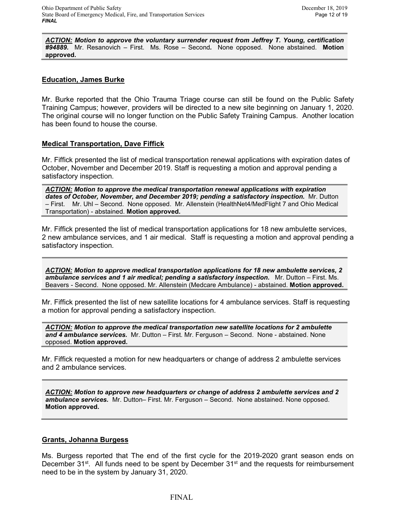*ACTION: Motion to approve the voluntary surrender request from Jeffrey T. Young, certification #94889.* Mr. Resanovich – First. Ms. Rose – Second*.* None opposed. None abstained. **Motion approved.**

# **Education, James Burke**

Mr. Burke reported that the Ohio Trauma Triage course can still be found on the Public Safety Training Campus; however, providers will be directed to a new site beginning on January 1, 2020. The original course will no longer function on the Public Safety Training Campus. Another location has been found to house the course.

## **Medical Transportation, Dave Fiffick**

Mr. Fiffick presented the list of medical transportation renewal applications with expiration dates of October, November and December 2019. Staff is requesting a motion and approval pending a satisfactory inspection.

*ACTION: Motion to approve the medical transportation renewal applications with expiration dates of October, November, and December 2019; pending a satisfactory inspection.* Mr. Dutton – First. Mr. Uhl – Second. None opposed. Mr. Allenstein (HealthNet4/MedFlight 7 and Ohio Medical Transportation) - abstained. **Motion approved.**

Mr. Fiffick presented the list of medical transportation applications for 18 new ambulette services, 2 new ambulance services, and 1 air medical. Staff is requesting a motion and approval pending a satisfactory inspection.

*ACTION: Motion to approve medical transportation applications for 18 new ambulette services, 2 ambulance services and 1 air medical; pending a satisfactory inspection.* Mr. Dutton – First. Ms. Beavers - Second. None opposed. Mr. Allenstein (Medcare Ambulance) - abstained. **Motion approved.**

Mr. Fiffick presented the list of new satellite locations for 4 ambulance services. Staff is requesting a motion for approval pending a satisfactory inspection.

*ACTION: Motion to approve the medical transportation new satellite locations for 2 ambulette and 4 ambulance services.* Mr. Dutton – First. Mr. Ferguson – Second. None - abstained. None opposed. **Motion approved.**

Mr. Fiffick requested a motion for new headquarters or change of address 2 ambulette services and 2 ambulance services.

*ACTION: Motion to approve new headquarters or change of address 2 ambulette services and 2 ambulance services.* Mr. Dutton– First. Mr. Ferguson – Second. None abstained. None opposed. **Motion approved.**

# **Grants, Johanna Burgess**

Ms. Burgess reported that The end of the first cycle for the 2019-2020 grant season ends on December 31 $^{st}$ . All funds need to be spent by December 31 $^{st}$  and the requests for reimbursement need to be in the system by January 31, 2020.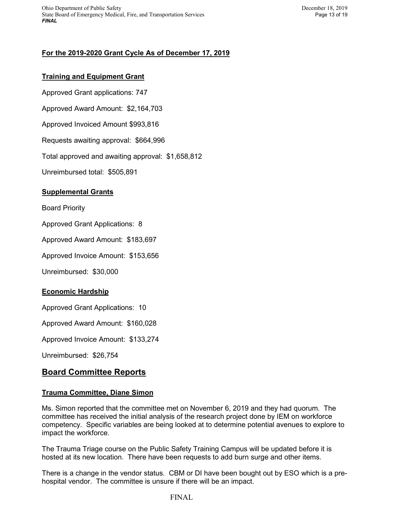Ohio Department of Public Safety December 18, 2019 State Board of Emergency Medical, Fire, and Transportation Services Page 13 of 19 *FINAL*

# **For the 2019-2020 Grant Cycle As of December 17, 2019**

# **Training and Equipment Grant**

Approved Grant applications: 747

Approved Award Amount: \$2,164,703

Approved Invoiced Amount \$993,816

Requests awaiting approval: \$664,996

Total approved and awaiting approval: \$1,658,812

Unreimbursed total: \$505,891

## **Supplemental Grants**

Board Priority

Approved Grant Applications: 8

Approved Award Amount: \$183,697

Approved Invoice Amount: \$153,656

Unreimbursed: \$30,000

# **Economic Hardship**

Approved Grant Applications: 10

Approved Award Amount: \$160,028

Approved Invoice Amount: \$133,274

Unreimbursed: \$26,754

# **Board Committee Reports**

#### **Trauma Committee, Diane Simon**

Ms. Simon reported that the committee met on November 6, 2019 and they had quorum. The committee has received the initial analysis of the research project done by IEM on workforce competency. Specific variables are being looked at to determine potential avenues to explore to impact the workforce.

The Trauma Triage course on the Public Safety Training Campus will be updated before it is hosted at its new location. There have been requests to add burn surge and other items.

There is a change in the vendor status. CBM or DI have been bought out by ESO which is a prehospital vendor. The committee is unsure if there will be an impact.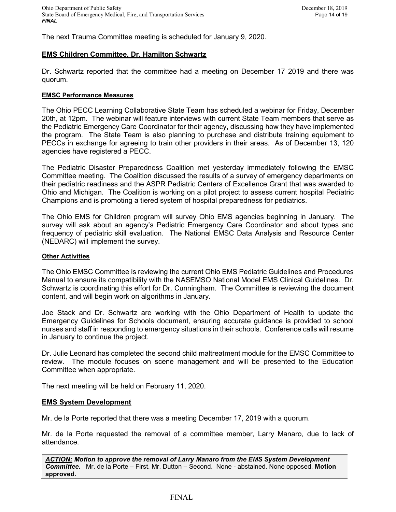The next Trauma Committee meeting is scheduled for January 9, 2020.

# **EMS Children Committee, Dr. Hamilton Schwartz**

Dr. Schwartz reported that the committee had a meeting on December 17 2019 and there was quorum.

#### **EMSC Performance Measures**

The Ohio PECC Learning Collaborative State Team has scheduled a webinar for Friday, December 20th, at 12pm. The webinar will feature interviews with current State Team members that serve as the Pediatric Emergency Care Coordinator for their agency, discussing how they have implemented the program. The State Team is also planning to purchase and distribute training equipment to PECCs in exchange for agreeing to train other providers in their areas. As of December 13, 120 agencies have registered a PECC.

The Pediatric Disaster Preparedness Coalition met yesterday immediately following the EMSC Committee meeting. The Coalition discussed the results of a survey of emergency departments on their pediatric readiness and the ASPR Pediatric Centers of Excellence Grant that was awarded to Ohio and Michigan. The Coalition is working on a pilot project to assess current hospital Pediatric Champions and is promoting a tiered system of hospital preparedness for pediatrics.

The Ohio EMS for Children program will survey Ohio EMS agencies beginning in January. The survey will ask about an agency's Pediatric Emergency Care Coordinator and about types and frequency of pediatric skill evaluation. The National EMSC Data Analysis and Resource Center (NEDARC) will implement the survey.

#### **Other Activities**

The Ohio EMSC Committee is reviewing the current Ohio EMS Pediatric Guidelines and Procedures Manual to ensure its compatibility with the NASEMSO National Model EMS Clinical Guidelines. Dr. Schwartz is coordinating this effort for Dr. Cunningham. The Committee is reviewing the document content, and will begin work on algorithms in January.

Joe Stack and Dr. Schwartz are working with the Ohio Department of Health to update the Emergency Guidelines for Schools document, ensuring accurate guidance is provided to school nurses and staff in responding to emergency situations in their schools. Conference calls will resume in January to continue the project.

Dr. Julie Leonard has completed the second child maltreatment module for the EMSC Committee to review. The module focuses on scene management and will be presented to the Education Committee when appropriate.

The next meeting will be held on February 11, 2020.

#### **EMS System Development**

Mr. de la Porte reported that there was a meeting December 17, 2019 with a quorum.

Mr. de la Porte requested the removal of a committee member, Larry Manaro, due to lack of attendance.

*ACTION: Motion to approve the removal of Larry Manaro from the EMS System Development Committee.* Mr. de la Porte – First. Mr. Dutton – Second. None - abstained. None opposed. **Motion approved.**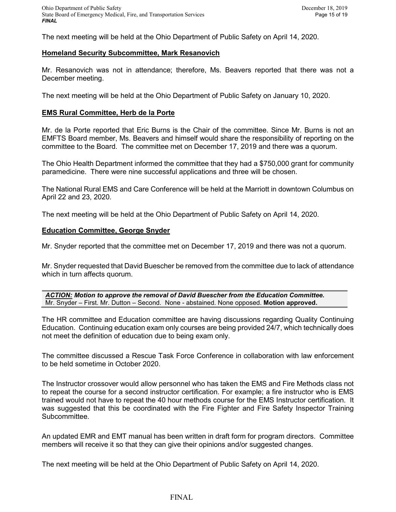The next meeting will be held at the Ohio Department of Public Safety on April 14, 2020.

### **Homeland Security Subcommittee, Mark Resanovich**

Mr. Resanovich was not in attendance; therefore, Ms. Beavers reported that there was not a December meeting.

The next meeting will be held at the Ohio Department of Public Safety on January 10, 2020.

### **EMS Rural Committee, Herb de la Porte**

Mr. de la Porte reported that Eric Burns is the Chair of the committee. Since Mr. Burns is not an EMFTS Board member, Ms. Beavers and himself would share the responsibility of reporting on the committee to the Board. The committee met on December 17, 2019 and there was a quorum.

The Ohio Health Department informed the committee that they had a \$750,000 grant for community paramedicine. There were nine successful applications and three will be chosen.

The National Rural EMS and Care Conference will be held at the Marriott in downtown Columbus on April 22 and 23, 2020.

The next meeting will be held at the Ohio Department of Public Safety on April 14, 2020.

#### **Education Committee, George Snyder**

Mr. Snyder reported that the committee met on December 17, 2019 and there was not a quorum.

Mr. Snyder requested that David Buescher be removed from the committee due to lack of attendance which in turn affects quorum.

*ACTION: Motion to approve the removal of David Buescher from the Education Committee.*  Mr. Snyder – First. Mr. Dutton – Second. None - abstained. None opposed. **Motion approved.**

The HR committee and Education committee are having discussions regarding Quality Continuing Education. Continuing education exam only courses are being provided 24/7, which technically does not meet the definition of education due to being exam only.

The committee discussed a Rescue Task Force Conference in collaboration with law enforcement to be held sometime in October 2020.

The Instructor crossover would allow personnel who has taken the EMS and Fire Methods class not to repeat the course for a second instructor certification. For example; a fire instructor who is EMS trained would not have to repeat the 40 hour methods course for the EMS Instructor certification. It was suggested that this be coordinated with the Fire Fighter and Fire Safety Inspector Training Subcommittee.

An updated EMR and EMT manual has been written in draft form for program directors. Committee members will receive it so that they can give their opinions and/or suggested changes.

The next meeting will be held at the Ohio Department of Public Safety on April 14, 2020.

## FINAL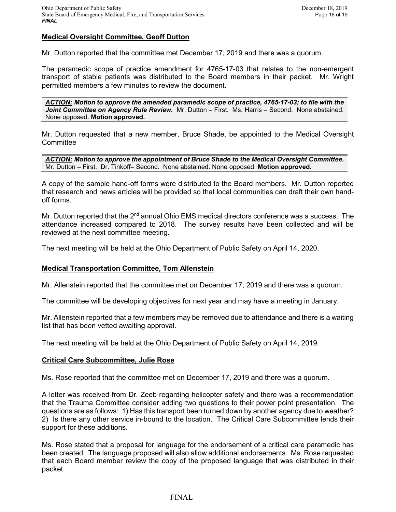# **Medical Oversight Committee, Geoff Dutton**

Mr. Dutton reported that the committee met December 17, 2019 and there was a quorum.

The paramedic scope of practice amendment for 4765-17-03 that relates to the non-emergent transport of stable patients was distributed to the Board members in their packet. Mr. Wright permitted members a few minutes to review the document.

*ACTION: Motion to approve the amended paramedic scope of practice, 4765-17-03; to file with the Joint Committee on Agency Rule Review.* Mr. Dutton – First. Ms. Harris – Second. None abstained. None opposed. **Motion approved.**

Mr. Dutton requested that a new member, Bruce Shade, be appointed to the Medical Oversight **Committee** 

*ACTION: Motion to approve the appointment of Bruce Shade to the Medical Oversight Committee.*  Mr. Dutton – First. Dr. Tinkoff– Second. None abstained. None opposed. **Motion approved.**

A copy of the sample hand-off forms were distributed to the Board members. Mr. Dutton reported that research and news articles will be provided so that local communities can draft their own handoff forms.

Mr. Dutton reported that the 2<sup>nd</sup> annual Ohio EMS medical directors conference was a success. The attendance increased compared to 2018. The survey results have been collected and will be reviewed at the next committee meeting.

The next meeting will be held at the Ohio Department of Public Safety on April 14, 2020.

#### **Medical Transportation Committee, Tom Allenstein**

Mr. Allenstein reported that the committee met on December 17, 2019 and there was a quorum.

The committee will be developing objectives for next year and may have a meeting in January.

Mr. Allenstein reported that a few members may be removed due to attendance and there is a waiting list that has been vetted awaiting approval.

The next meeting will be held at the Ohio Department of Public Safety on April 14, 2019.

#### **Critical Care Subcommittee, Julie Rose**

Ms. Rose reported that the committee met on December 17, 2019 and there was a quorum.

A letter was received from Dr. Zeeb regarding helicopter safety and there was a recommendation that the Trauma Committee consider adding two questions to their power point presentation. The questions are as follows: 1) Has this transport been turned down by another agency due to weather? 2) Is there any other service in-bound to the location. The Critical Care Subcommittee lends their support for these additions.

Ms. Rose stated that a proposal for language for the endorsement of a critical care paramedic has been created. The language proposed will also allow additional endorsements. Ms. Rose requested that each Board member review the copy of the proposed language that was distributed in their packet.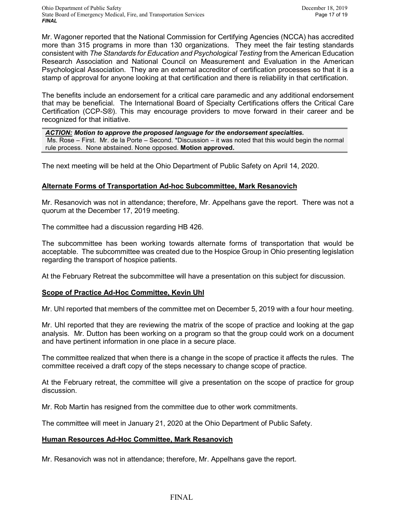Mr. Wagoner reported that the National Commission for Certifying Agencies (NCCA) has accredited more than 315 programs in more than 130 organizations. They meet the fair testing standards consistent with *The Standards for Education and Psychological Testing* from the American Education Research Association and National Council on Measurement and Evaluation in the American Psychological Association. They are an external accreditor of certification processes so that it is a stamp of approval for anyone looking at that certification and there is reliability in that certification.

The benefits include an endorsement for a critical care paramedic and any additional endorsement that may be beneficial. The International Board of Specialty Certifications offers the Critical Care Certification (CCP-S®). This may encourage providers to move forward in their career and be recognized for that initiative.

*ACTION: Motion to approve the proposed language for the endorsement specialties.* Ms. Rose – First. Mr. de la Porte – Second. \*Discussion – it was noted that this would begin the normal rule process. None abstained. None opposed. **Motion approved.**

The next meeting will be held at the Ohio Department of Public Safety on April 14, 2020.

## **Alternate Forms of Transportation Ad-hoc Subcommittee, Mark Resanovich**

Mr. Resanovich was not in attendance; therefore, Mr. Appelhans gave the report. There was not a quorum at the December 17, 2019 meeting.

The committee had a discussion regarding HB 426.

The subcommittee has been working towards alternate forms of transportation that would be acceptable. The subcommittee was created due to the Hospice Group in Ohio presenting legislation regarding the transport of hospice patients.

At the February Retreat the subcommittee will have a presentation on this subject for discussion.

# **Scope of Practice Ad-Hoc Committee, Kevin Uhl**

Mr. Uhl reported that members of the committee met on December 5, 2019 with a four hour meeting.

Mr. Uhl reported that they are reviewing the matrix of the scope of practice and looking at the gap analysis. Mr. Dutton has been working on a program so that the group could work on a document and have pertinent information in one place in a secure place.

The committee realized that when there is a change in the scope of practice it affects the rules. The committee received a draft copy of the steps necessary to change scope of practice.

At the February retreat, the committee will give a presentation on the scope of practice for group discussion.

Mr. Rob Martin has resigned from the committee due to other work commitments.

The committee will meet in January 21, 2020 at the Ohio Department of Public Safety.

#### **Human Resources Ad-Hoc Committee, Mark Resanovich**

Mr. Resanovich was not in attendance; therefore, Mr. Appelhans gave the report.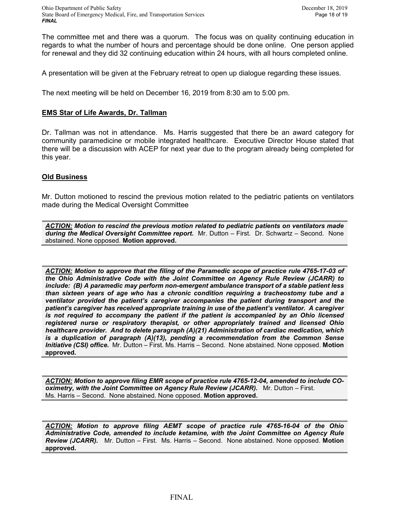The committee met and there was a quorum. The focus was on quality continuing education in regards to what the number of hours and percentage should be done online. One person applied for renewal and they did 32 continuing education within 24 hours, with all hours completed online.

A presentation will be given at the February retreat to open up dialogue regarding these issues.

The next meeting will be held on December 16, 2019 from 8:30 am to 5:00 pm.

## **EMS Star of Life Awards, Dr. Tallman**

Dr. Tallman was not in attendance. Ms. Harris suggested that there be an award category for community paramedicine or mobile integrated healthcare. Executive Director House stated that there will be a discussion with ACEP for next year due to the program already being completed for this year.

## **Old Business**

Mr. Dutton motioned to rescind the previous motion related to the pediatric patients on ventilators made during the Medical Oversight Committee

*ACTION: Motion to rescind the previous motion related to pediatric patients on ventilators made during the Medical Oversight Committee report.* Mr. Dutton – First. Dr. Schwartz – Second. None abstained. None opposed. **Motion approved.**

*ACTION: Motion to approve that the filing of the Paramedic scope of practice rule 4765-17-03 of the Ohio Administrative Code with the Joint Committee on Agency Rule Review (JCARR) to include: (B) A paramedic may perform non-emergent ambulance transport of a stable patient less than sixteen years of age who has a chronic condition requiring a tracheostomy tube and a ventilator provided the patient's caregiver accompanies the patient during transport and the patient's caregiver has received appropriate training in use of the patient's ventilator. A caregiver is not required to accompany the patient if the patient is accompanied by an Ohio licensed registered nurse or respiratory therapist, or other appropriately trained and licensed Ohio healthcare provider. And to delete paragraph (A)(21) Administration of cardiac medication, which is a duplication of paragraph (A)(13), pending a recommendation from the Common Sense Initiative (CSI) office.* Mr. Dutton – First. Ms. Harris – Second. None abstained. None opposed. **Motion approved.**

*ACTION: Motion to approve filing EMR scope of practice rule 4765-12-04, amended to include COoximetry, with the Joint Committee on Agency Rule Review (JCARR).* Mr. Dutton – First. Ms. Harris – Second. None abstained. None opposed. **Motion approved.**

*ACTION: Motion to approve filing AEMT scope of practice rule 4765-16-04 of the Ohio Administrative Code, amended to include ketamine, with the Joint Committee on Agency Rule Review (JCARR).* Mr. Dutton – First. Ms. Harris – Second. None abstained. None opposed. **Motion approved.**